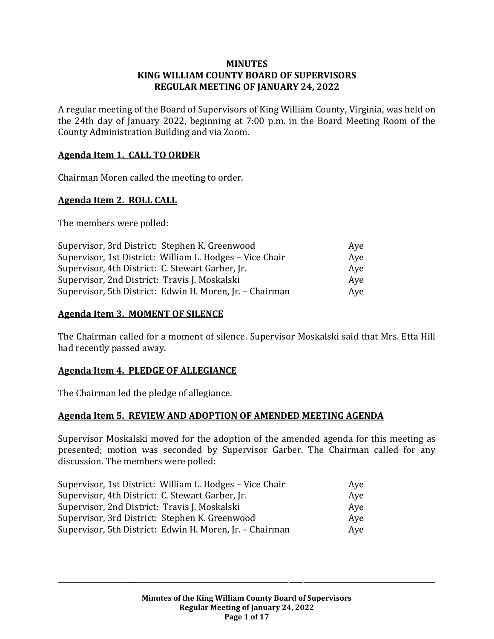#### **MINUTES KING WILLIAM COUNTY BOARD OF SUPERVISORS REGULAR MEETING OF JANUARY 24, 2022**

A regular meeting of the Board of Supervisors of King William County, Virginia, was held on the 24th day of January 2022, beginning at 7:00 p.m. in the Board Meeting Room of the County Administration Building and via Zoom.

## **Agenda Item 1. CALL TO ORDER**

Chairman Moren called the meeting to order.

#### **Agenda Item 2. ROLL CALL**

The members were polled:

| Supervisor, 3rd District: Stephen K. Greenwood           | Aye |
|----------------------------------------------------------|-----|
| Supervisor, 1st District: William L. Hodges - Vice Chair | Aye |
| Supervisor, 4th District: C. Stewart Garber, Jr.         | Aye |
| Supervisor, 2nd District: Travis J. Moskalski            | Ave |
| Supervisor, 5th District: Edwin H. Moren, Jr. - Chairman | Aye |

#### **Agenda Item 3. MOMENT OF SILENCE**

The Chairman called for a moment of silence. Supervisor Moskalski said that Mrs. Etta Hill had recently passed away.

#### **Agenda Item 4. PLEDGE OF ALLEGIANCE**

The Chairman led the pledge of allegiance.

## **Agenda Item 5. REVIEW AND ADOPTION OF AMENDED MEETING AGENDA**

Supervisor Moskalski moved for the adoption of the amended agenda for this meeting as presented; motion was seconded by Supervisor Garber. The Chairman called for any discussion. The members were polled:

| Supervisor, 1st District: William L. Hodges - Vice Chair | Ave |
|----------------------------------------------------------|-----|
| Supervisor, 4th District: C. Stewart Garber, Jr.         | Aye |
| Supervisor, 2nd District: Travis J. Moskalski            | Aye |
| Supervisor, 3rd District: Stephen K. Greenwood           | Aye |
| Supervisor, 5th District: Edwin H. Moren, Jr. - Chairman | Aye |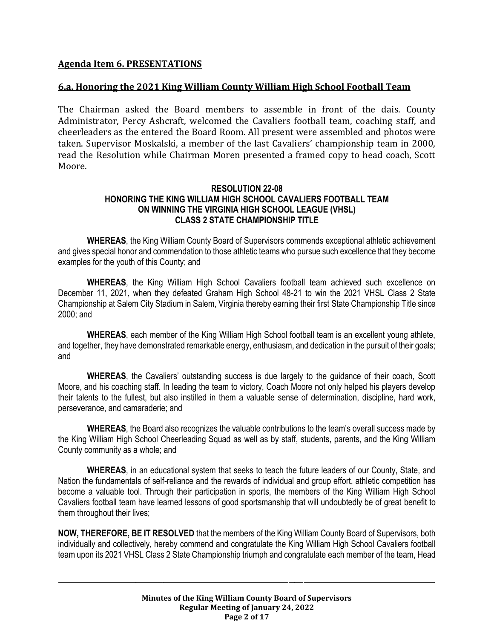## **Agenda Item 6. PRESENTATIONS**

#### **6.a. Honoring the 2021 King William County William High School Football Team**

The Chairman asked the Board members to assemble in front of the dais. County Administrator, Percy Ashcraft, welcomed the Cavaliers football team, coaching staff, and cheerleaders as the entered the Board Room. All present were assembled and photos were taken. Supervisor Moskalski, a member of the last Cavaliers' championship team in 2000, read the Resolution while Chairman Moren presented a framed copy to head coach, Scott Moore.

#### **RESOLUTION 22-08 HONORING THE KING WILLIAM HIGH SCHOOL CAVALIERS FOOTBALL TEAM ON WINNING THE VIRGINIA HIGH SCHOOL LEAGUE (VHSL) CLASS 2 STATE CHAMPIONSHIP TITLE**

**WHEREAS**, the King William County Board of Supervisors commends exceptional athletic achievement and gives special honor and commendation to those athletic teams who pursue such excellence that they become examples for the youth of this County; and

**WHEREAS**, the King William High School Cavaliers football team achieved such excellence on December 11, 2021, when they defeated Graham High School 48-21 to win the 2021 VHSL Class 2 State Championship at Salem City Stadium in Salem, Virginia thereby earning their first State Championship Title since 2000; and

**WHEREAS**, each member of the King William High School football team is an excellent young athlete, and together, they have demonstrated remarkable energy, enthusiasm, and dedication in the pursuit of their goals; and

**WHEREAS**, the Cavaliers' outstanding success is due largely to the guidance of their coach, Scott Moore, and his coaching staff. In leading the team to victory, Coach Moore not only helped his players develop their talents to the fullest, but also instilled in them a valuable sense of determination, discipline, hard work, perseverance, and camaraderie; and

**WHEREAS**, the Board also recognizes the valuable contributions to the team's overall success made by the King William High School Cheerleading Squad as well as by staff, students, parents, and the King William County community as a whole; and

**WHEREAS**, in an educational system that seeks to teach the future leaders of our County, State, and Nation the fundamentals of self-reliance and the rewards of individual and group effort, athletic competition has become a valuable tool. Through their participation in sports, the members of the King William High School Cavaliers football team have learned lessons of good sportsmanship that will undoubtedly be of great benefit to them throughout their lives;

**NOW, THEREFORE, BE IT RESOLVED** that the members of the King William County Board of Supervisors, both individually and collectively, hereby commend and congratulate the King William High School Cavaliers football team upon its 2021 VHSL Class 2 State Championship triumph and congratulate each member of the team, Head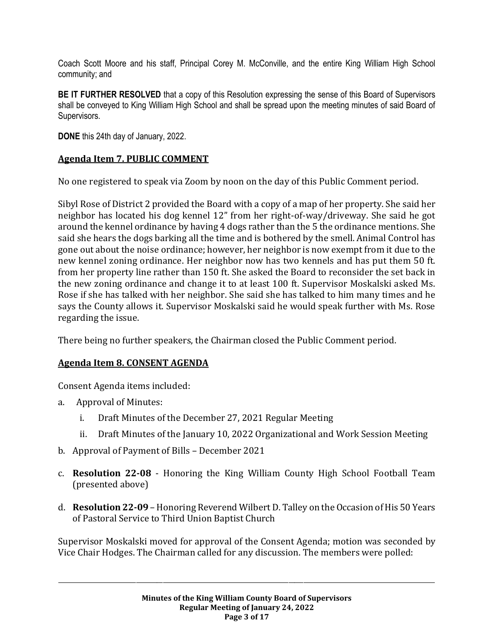Coach Scott Moore and his staff, Principal Corey M. McConville, and the entire King William High School community; and

**BE IT FURTHER RESOLVED** that a copy of this Resolution expressing the sense of this Board of Supervisors shall be conveyed to King William High School and shall be spread upon the meeting minutes of said Board of Supervisors.

**DONE** this 24th day of January, 2022.

## **Agenda Item 7. PUBLIC COMMENT**

No one registered to speak via Zoom by noon on the day of this Public Comment period.

Sibyl Rose of District 2 provided the Board with a copy of a map of her property. She said her neighbor has located his dog kennel 12" from her right-of-way/driveway. She said he got around the kennel ordinance by having 4 dogs rather than the 5 the ordinance mentions. She said she hears the dogs barking all the time and is bothered by the smell. Animal Control has gone out about the noise ordinance; however, her neighbor is now exempt from it due to the new kennel zoning ordinance. Her neighbor now has two kennels and has put them 50 ft. from her property line rather than 150 ft. She asked the Board to reconsider the set back in the new zoning ordinance and change it to at least 100 ft. Supervisor Moskalski asked Ms. Rose if she has talked with her neighbor. She said she has talked to him many times and he says the County allows it. Supervisor Moskalski said he would speak further with Ms. Rose regarding the issue.

There being no further speakers, the Chairman closed the Public Comment period.

## **Agenda Item 8. CONSENT AGENDA**

Consent Agenda items included:

- a. Approval of Minutes:
	- i. Draft Minutes of the December 27, 2021 Regular Meeting
	- ii. Draft Minutes of the January 10, 2022 Organizational and Work Session Meeting
- b. Approval of Payment of Bills December 2021
- c. **Resolution 22-08** Honoring the King William County High School Football Team (presented above)
- d. **Resolution 22-09** Honoring Reverend Wilbert D. Talley on the Occasion of His 50 Years of Pastoral Service to Third Union Baptist Church

Supervisor Moskalski moved for approval of the Consent Agenda; motion was seconded by Vice Chair Hodges. The Chairman called for any discussion. The members were polled: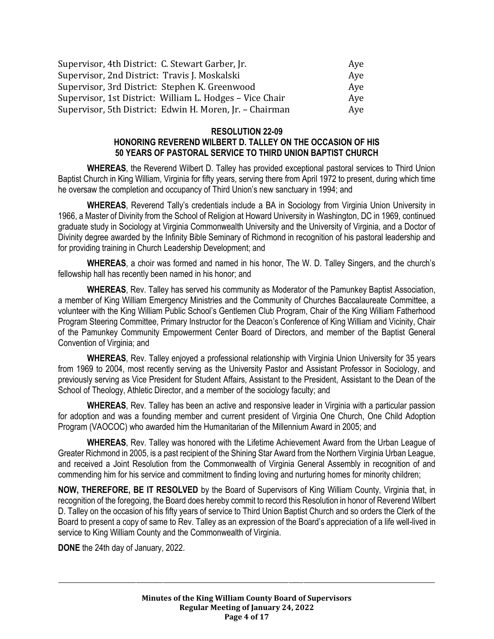| Supervisor, 4th District: C. Stewart Garber, Jr.         | Aye |
|----------------------------------------------------------|-----|
| Supervisor, 2nd District: Travis J. Moskalski            | Aye |
| Supervisor, 3rd District: Stephen K. Greenwood           | Aye |
| Supervisor, 1st District: William L. Hodges - Vice Chair | Aye |
| Supervisor, 5th District: Edwin H. Moren, Jr. - Chairman | Aye |

#### **RESOLUTION 22-09**

#### **HONORING REVEREND WILBERT D. TALLEY ON THE OCCASION OF HIS 50 YEARS OF PASTORAL SERVICE TO THIRD UNION BAPTIST CHURCH**

**WHEREAS**, the Reverend Wilbert D. Talley has provided exceptional pastoral services to Third Union Baptist Church in King William, Virginia for fifty years, serving there from April 1972 to present, during which time he oversaw the completion and occupancy of Third Union's new sanctuary in 1994; and

**WHEREAS**, Reverend Tally's credentials include a BA in Sociology from Virginia Union University in 1966, a Master of Divinity from the School of Religion at Howard University in Washington, DC in 1969, continued graduate study in Sociology at Virginia Commonwealth University and the University of Virginia, and a Doctor of Divinity degree awarded by the Infinity Bible Seminary of Richmond in recognition of his pastoral leadership and for providing training in Church Leadership Development; and

**WHEREAS**, a choir was formed and named in his honor, The W. D. Talley Singers, and the church's fellowship hall has recently been named in his honor; and

**WHEREAS**, Rev. Talley has served his community as Moderator of the Pamunkey Baptist Association, a member of King William Emergency Ministries and the Community of Churches Baccalaureate Committee, a volunteer with the King William Public School's Gentlemen Club Program, Chair of the King William Fatherhood Program Steering Committee, Primary Instructor for the Deacon's Conference of King William and Vicinity, Chair of the Pamunkey Community Empowerment Center Board of Directors, and member of the Baptist General Convention of Virginia; and

**WHEREAS**, Rev. Talley enjoyed a professional relationship with Virginia Union University for 35 years from 1969 to 2004, most recently serving as the University Pastor and Assistant Professor in Sociology, and previously serving as Vice President for Student Affairs, Assistant to the President, Assistant to the Dean of the School of Theology, Athletic Director, and a member of the sociology faculty; and

**WHEREAS**, Rev. Talley has been an active and responsive leader in Virginia with a particular passion for adoption and was a founding member and current president of Virginia One Church, One Child Adoption Program (VAOCOC) who awarded him the Humanitarian of the Millennium Award in 2005; and

**WHEREAS**, Rev. Talley was honored with the Lifetime Achievement Award from the Urban League of Greater Richmond in 2005, is a past recipient of the Shining Star Award from the Northern Virginia Urban League, and received a Joint Resolution from the Commonwealth of Virginia General Assembly in recognition of and commending him for his service and commitment to finding loving and nurturing homes for minority children;

**NOW, THEREFORE, BE IT RESOLVED** by the Board of Supervisors of King William County, Virginia that, in recognition of the foregoing, the Board does hereby commit to record this Resolution in honor of Reverend Wilbert D. Talley on the occasion of his fifty years of service to Third Union Baptist Church and so orders the Clerk of the Board to present a copy of same to Rev. Talley as an expression of the Board's appreciation of a life well-lived in service to King William County and the Commonwealth of Virginia.

**DONE** the 24th day of January, 2022.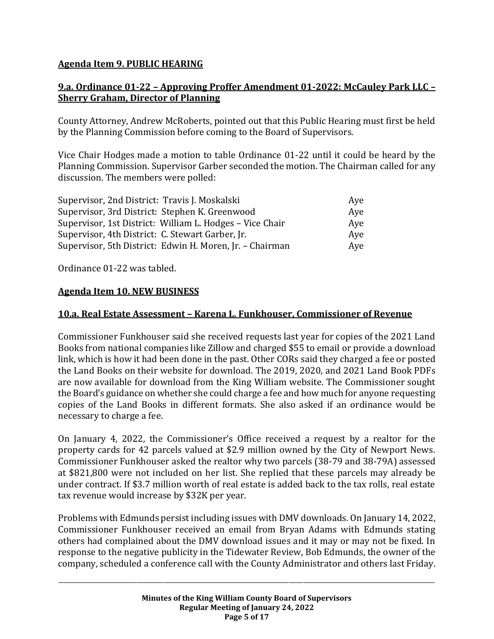## **Agenda Item 9. PUBLIC HEARING**

## **9.a. Ordinance 01-22 – Approving Proffer Amendment 01-2022: McCauley Park LLC – Sherry Graham, Director of Planning**

County Attorney, Andrew McRoberts, pointed out that this Public Hearing must first be held by the Planning Commission before coming to the Board of Supervisors.

Vice Chair Hodges made a motion to table Ordinance 01-22 until it could be heard by the Planning Commission. Supervisor Garber seconded the motion. The Chairman called for any discussion. The members were polled:

| Supervisor, 2nd District: Travis J. Moskalski            | Aye |
|----------------------------------------------------------|-----|
| Supervisor, 3rd District: Stephen K. Greenwood           | Aye |
| Supervisor, 1st District: William L. Hodges - Vice Chair | Ave |
| Supervisor, 4th District: C. Stewart Garber, Jr.         | Aye |
| Supervisor, 5th District: Edwin H. Moren, Jr. - Chairman | Aye |

Ordinance 01-22 was tabled.

## **Agenda Item 10. NEW BUSINESS**

## **10.a. Real Estate Assessment – Karena L. Funkhouser, Commissioner of Revenue**

Commissioner Funkhouser said she received requests last year for copies of the 2021 Land Books from national companies like Zillow and charged \$55 to email or provide a download link, which is how it had been done in the past. Other CORs said they charged a fee or posted the Land Books on their website for download. The 2019, 2020, and 2021 Land Book PDFs are now available for download from the King William website. The Commissioner sought the Board's guidance on whether she could charge a fee and how much for anyone requesting copies of the Land Books in different formats. She also asked if an ordinance would be necessary to charge a fee.

On January 4, 2022, the Commissioner's Office received a request by a realtor for the property cards for 42 parcels valued at \$2.9 million owned by the City of Newport News. Commissioner Funkhouser asked the realtor why two parcels (38-79 and 38-79A) assessed at \$821,800 were not included on her list. She replied that these parcels may already be under contract. If \$3.7 million worth of real estate is added back to the tax rolls, real estate tax revenue would increase by \$32K per year.

Problems with Edmunds persist including issues with DMV downloads. On January 14, 2022, Commissioner Funkhouser received an email from Bryan Adams with Edmunds stating others had complained about the DMV download issues and it may or may not be fixed. In response to the negative publicity in the Tidewater Review, Bob Edmunds, the owner of the company, scheduled a conference call with the County Administrator and others last Friday.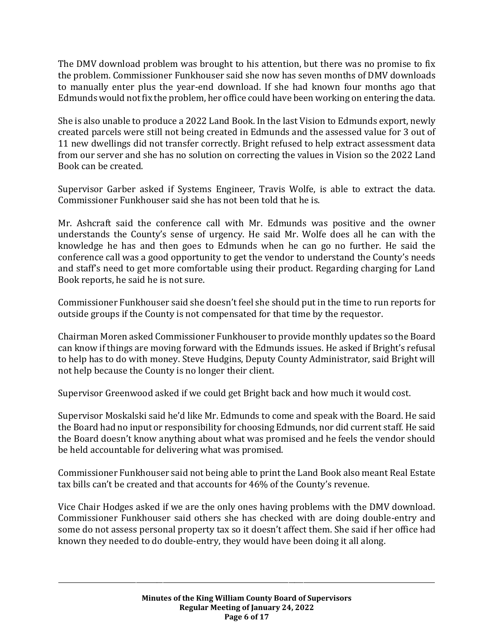The DMV download problem was brought to his attention, but there was no promise to fix the problem. Commissioner Funkhouser said she now has seven months of DMV downloads to manually enter plus the year-end download. If she had known four months ago that Edmunds would not fix the problem, her office could have been working on entering the data.

She is also unable to produce a 2022 Land Book. In the last Vision to Edmunds export, newly created parcels were still not being created in Edmunds and the assessed value for 3 out of 11 new dwellings did not transfer correctly. Bright refused to help extract assessment data from our server and she has no solution on correcting the values in Vision so the 2022 Land Book can be created.

Supervisor Garber asked if Systems Engineer, Travis Wolfe, is able to extract the data. Commissioner Funkhouser said she has not been told that he is.

Mr. Ashcraft said the conference call with Mr. Edmunds was positive and the owner understands the County's sense of urgency. He said Mr. Wolfe does all he can with the knowledge he has and then goes to Edmunds when he can go no further. He said the conference call was a good opportunity to get the vendor to understand the County's needs and staff's need to get more comfortable using their product. Regarding charging for Land Book reports, he said he is not sure.

Commissioner Funkhouser said she doesn't feel she should put in the time to run reports for outside groups if the County is not compensated for that time by the requestor.

Chairman Moren asked Commissioner Funkhouser to provide monthly updates so the Board can know if things are moving forward with the Edmunds issues. He asked if Bright's refusal to help has to do with money. Steve Hudgins, Deputy County Administrator, said Bright will not help because the County is no longer their client.

Supervisor Greenwood asked if we could get Bright back and how much it would cost.

Supervisor Moskalski said he'd like Mr. Edmunds to come and speak with the Board. He said the Board had no input or responsibility for choosing Edmunds, nor did current staff. He said the Board doesn't know anything about what was promised and he feels the vendor should be held accountable for delivering what was promised.

Commissioner Funkhouser said not being able to print the Land Book also meant Real Estate tax bills can't be created and that accounts for 46% of the County's revenue.

Vice Chair Hodges asked if we are the only ones having problems with the DMV download. Commissioner Funkhouser said others she has checked with are doing double-entry and some do not assess personal property tax so it doesn't affect them. She said if her office had known they needed to do double-entry, they would have been doing it all along.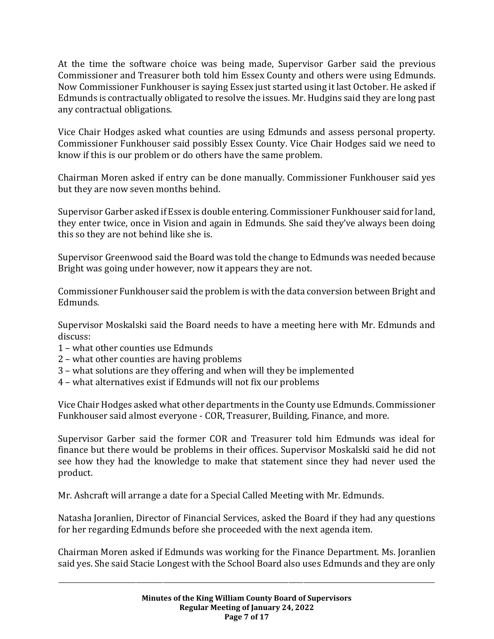At the time the software choice was being made, Supervisor Garber said the previous Commissioner and Treasurer both told him Essex County and others were using Edmunds. Now Commissioner Funkhouser is saying Essex just started using it last October. He asked if Edmunds is contractually obligated to resolve the issues. Mr. Hudgins said they are long past any contractual obligations.

Vice Chair Hodges asked what counties are using Edmunds and assess personal property. Commissioner Funkhouser said possibly Essex County. Vice Chair Hodges said we need to know if this is our problem or do others have the same problem.

Chairman Moren asked if entry can be done manually. Commissioner Funkhouser said yes but they are now seven months behind.

Supervisor Garber asked if Essex is double entering. Commissioner Funkhouser said for land, they enter twice, once in Vision and again in Edmunds. She said they've always been doing this so they are not behind like she is.

Supervisor Greenwood said the Board was told the change to Edmunds was needed because Bright was going under however, now it appears they are not.

Commissioner Funkhouser said the problem is with the data conversion between Bright and Edmunds.

Supervisor Moskalski said the Board needs to have a meeting here with Mr. Edmunds and discuss:

- 1 what other counties use Edmunds
- 2 what other counties are having problems
- 3 what solutions are they offering and when will they be implemented
- 4 what alternatives exist if Edmunds will not fix our problems

Vice Chair Hodges asked what other departments in the County use Edmunds. Commissioner Funkhouser said almost everyone - COR, Treasurer, Building, Finance, and more.

Supervisor Garber said the former COR and Treasurer told him Edmunds was ideal for finance but there would be problems in their offices. Supervisor Moskalski said he did not see how they had the knowledge to make that statement since they had never used the product.

Mr. Ashcraft will arrange a date for a Special Called Meeting with Mr. Edmunds.

Natasha Joranlien, Director of Financial Services, asked the Board if they had any questions for her regarding Edmunds before she proceeded with the next agenda item.

Chairman Moren asked if Edmunds was working for the Finance Department. Ms. Joranlien said yes. She said Stacie Longest with the School Board also uses Edmunds and they are only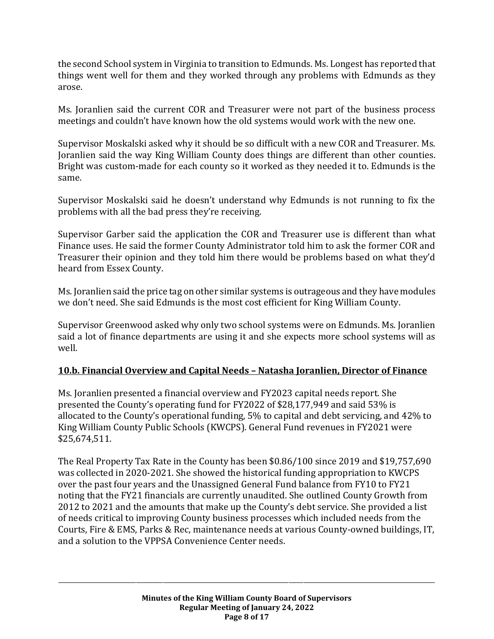the second School system in Virginia to transition to Edmunds. Ms. Longest has reported that things went well for them and they worked through any problems with Edmunds as they arose.

Ms. Joranlien said the current COR and Treasurer were not part of the business process meetings and couldn't have known how the old systems would work with the new one.

Supervisor Moskalski asked why it should be so difficult with a new COR and Treasurer. Ms. Joranlien said the way King William County does things are different than other counties. Bright was custom-made for each county so it worked as they needed it to. Edmunds is the same.

Supervisor Moskalski said he doesn't understand why Edmunds is not running to fix the problems with all the bad press they're receiving.

Supervisor Garber said the application the COR and Treasurer use is different than what Finance uses. He said the former County Administrator told him to ask the former COR and Treasurer their opinion and they told him there would be problems based on what they'd heard from Essex County.

Ms. Joranlien said the price tag on other similar systems is outrageous and they have modules we don't need. She said Edmunds is the most cost efficient for King William County.

Supervisor Greenwood asked why only two school systems were on Edmunds. Ms. Joranlien said a lot of finance departments are using it and she expects more school systems will as well.

## **10.b. Financial Overview and Capital Needs – Natasha Joranlien, Director of Finance**

Ms. Joranlien presented a financial overview and FY2023 capital needs report. She presented the County's operating fund for FY2022 of \$28,177,949 and said 53% is allocated to the County's operational funding, 5% to capital and debt servicing, and 42% to King William County Public Schools (KWCPS). General Fund revenues in FY2021 were \$25,674,511.

The Real Property Tax Rate in the County has been \$0.86/100 since 2019 and \$19,757,690 was collected in 2020-2021. She showed the historical funding appropriation to KWCPS over the past four years and the Unassigned General Fund balance from FY10 to FY21 noting that the FY21 financials are currently unaudited. She outlined County Growth from 2012 to 2021 and the amounts that make up the County's debt service. She provided a list of needs critical to improving County business processes which included needs from the Courts, Fire & EMS, Parks & Rec, maintenance needs at various County-owned buildings, IT, and a solution to the VPPSA Convenience Center needs.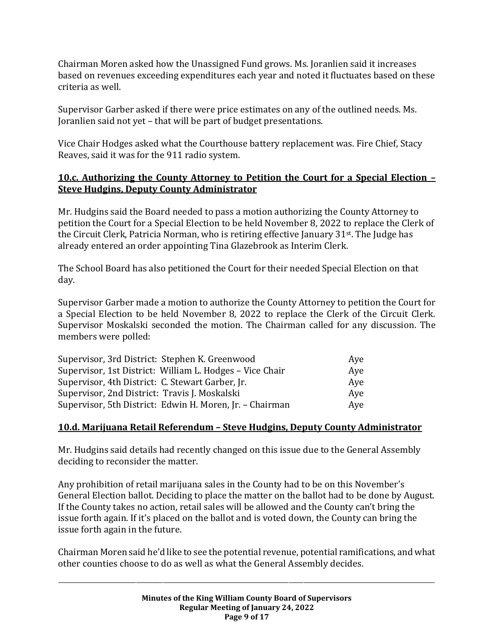Chairman Moren asked how the Unassigned Fund grows. Ms. Joranlien said it increases based on revenues exceeding expenditures each year and noted it fluctuates based on these criteria as well.

Supervisor Garber asked if there were price estimates on any of the outlined needs. Ms. Joranlien said not yet – that will be part of budget presentations.

Vice Chair Hodges asked what the Courthouse battery replacement was. Fire Chief, Stacy Reaves, said it was for the 911 radio system.

## **10.c. Authorizing the County Attorney to Petition the Court for a Special Election – Steve Hudgins, Deputy County Administrator**

Mr. Hudgins said the Board needed to pass a motion authorizing the County Attorney to petition the Court for a Special Election to be held November 8, 2022 to replace the Clerk of the Circuit Clerk, Patricia Norman, who is retiring effective January 31st. The Judge has already entered an order appointing Tina Glazebrook as Interim Clerk.

The School Board has also petitioned the Court for their needed Special Election on that day.

Supervisor Garber made a motion to authorize the County Attorney to petition the Court for a Special Election to be held November 8, 2022 to replace the Clerk of the Circuit Clerk. Supervisor Moskalski seconded the motion. The Chairman called for any discussion. The members were polled:

| Supervisor, 3rd District: Stephen K. Greenwood           | Aye |
|----------------------------------------------------------|-----|
| Supervisor, 1st District: William L. Hodges - Vice Chair | Aye |
| Supervisor, 4th District: C. Stewart Garber, Jr.         | Aye |
| Supervisor, 2nd District: Travis J. Moskalski            | Aye |
| Supervisor, 5th District: Edwin H. Moren, Jr. - Chairman | Aye |

## **10.d. Marijuana Retail Referendum – Steve Hudgins, Deputy County Administrator**

Mr. Hudgins said details had recently changed on this issue due to the General Assembly deciding to reconsider the matter.

Any prohibition of retail marijuana sales in the County had to be on this November's General Election ballot. Deciding to place the matter on the ballot had to be done by August. If the County takes no action, retail sales will be allowed and the County can't bring the issue forth again. If it's placed on the ballot and is voted down, the County can bring the issue forth again in the future.

Chairman Moren said he'd like to see the potential revenue, potential ramifications, and what other counties choose to do as well as what the General Assembly decides.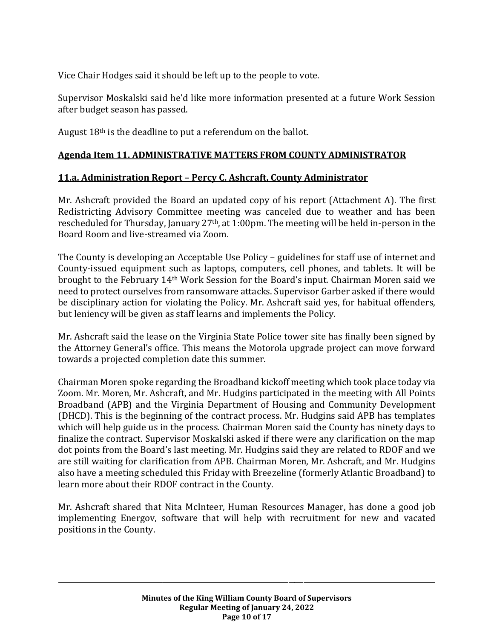Vice Chair Hodges said it should be left up to the people to vote.

Supervisor Moskalski said he'd like more information presented at a future Work Session after budget season has passed.

August 18<sup>th</sup> is the deadline to put a referendum on the ballot.

## **Agenda Item 11. ADMINISTRATIVE MATTERS FROM COUNTY ADMINISTRATOR**

## **11.a. Administration Report – Percy C. Ashcraft, County Administrator**

Mr. Ashcraft provided the Board an updated copy of his report (Attachment A). The first Redistricting Advisory Committee meeting was canceled due to weather and has been rescheduled for Thursday, January 27<sup>th</sup>, at 1:00pm. The meeting will be held in-person in the Board Room and live-streamed via Zoom.

The County is developing an Acceptable Use Policy – guidelines for staff use of internet and County-issued equipment such as laptops, computers, cell phones, and tablets. It will be brought to the February 14th Work Session for the Board's input. Chairman Moren said we need to protect ourselves from ransomware attacks. Supervisor Garber asked if there would be disciplinary action for violating the Policy. Mr. Ashcraft said yes, for habitual offenders, but leniency will be given as staff learns and implements the Policy.

Mr. Ashcraft said the lease on the Virginia State Police tower site has finally been signed by the Attorney General's office. This means the Motorola upgrade project can move forward towards a projected completion date this summer.

Chairman Moren spoke regarding the Broadband kickoff meeting which took place today via Zoom. Mr. Moren, Mr. Ashcraft, and Mr. Hudgins participated in the meeting with All Points Broadband (APB) and the Virginia Department of Housing and Community Development (DHCD). This is the beginning of the contract process. Mr. Hudgins said APB has templates which will help guide us in the process. Chairman Moren said the County has ninety days to finalize the contract. Supervisor Moskalski asked if there were any clarification on the map dot points from the Board's last meeting. Mr. Hudgins said they are related to RDOF and we are still waiting for clarification from APB. Chairman Moren, Mr. Ashcraft, and Mr. Hudgins also have a meeting scheduled this Friday with Breezeline (formerly Atlantic Broadband) to learn more about their RDOF contract in the County.

Mr. Ashcraft shared that Nita McInteer, Human Resources Manager, has done a good job implementing Energov, software that will help with recruitment for new and vacated positions in the County.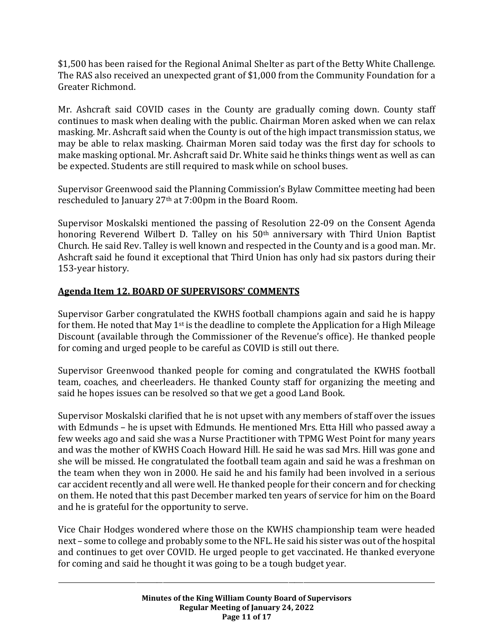\$1,500 has been raised for the Regional Animal Shelter as part of the Betty White Challenge. The RAS also received an unexpected grant of \$1,000 from the Community Foundation for a Greater Richmond.

Mr. Ashcraft said COVID cases in the County are gradually coming down. County staff continues to mask when dealing with the public. Chairman Moren asked when we can relax masking. Mr. Ashcraft said when the County is out of the high impact transmission status, we may be able to relax masking. Chairman Moren said today was the first day for schools to make masking optional. Mr. Ashcraft said Dr. White said he thinks things went as well as can be expected. Students are still required to mask while on school buses.

Supervisor Greenwood said the Planning Commission's Bylaw Committee meeting had been rescheduled to January 27th at 7:00pm in the Board Room.

Supervisor Moskalski mentioned the passing of Resolution 22-09 on the Consent Agenda honoring Reverend Wilbert D. Talley on his 50th anniversary with Third Union Baptist Church. He said Rev. Talley is well known and respected in the County and is a good man. Mr. Ashcraft said he found it exceptional that Third Union has only had six pastors during their 153-year history.

## **Agenda Item 12. BOARD OF SUPERVISORS' COMMENTS**

Supervisor Garber congratulated the KWHS football champions again and said he is happy for them. He noted that May  $1<sup>st</sup>$  is the deadline to complete the Application for a High Mileage Discount (available through the Commissioner of the Revenue's office). He thanked people for coming and urged people to be careful as COVID is still out there.

Supervisor Greenwood thanked people for coming and congratulated the KWHS football team, coaches, and cheerleaders. He thanked County staff for organizing the meeting and said he hopes issues can be resolved so that we get a good Land Book.

Supervisor Moskalski clarified that he is not upset with any members of staff over the issues with Edmunds – he is upset with Edmunds. He mentioned Mrs. Etta Hill who passed away a few weeks ago and said she was a Nurse Practitioner with TPMG West Point for many years and was the mother of KWHS Coach Howard Hill. He said he was sad Mrs. Hill was gone and she will be missed. He congratulated the football team again and said he was a freshman on the team when they won in 2000. He said he and his family had been involved in a serious car accident recently and all were well. He thanked people for their concern and for checking on them. He noted that this past December marked ten years of service for him on the Board and he is grateful for the opportunity to serve.

Vice Chair Hodges wondered where those on the KWHS championship team were headed next – some to college and probably some to the NFL.He said his sister was out of the hospital and continues to get over COVID. He urged people to get vaccinated. He thanked everyone for coming and said he thought it was going to be a tough budget year.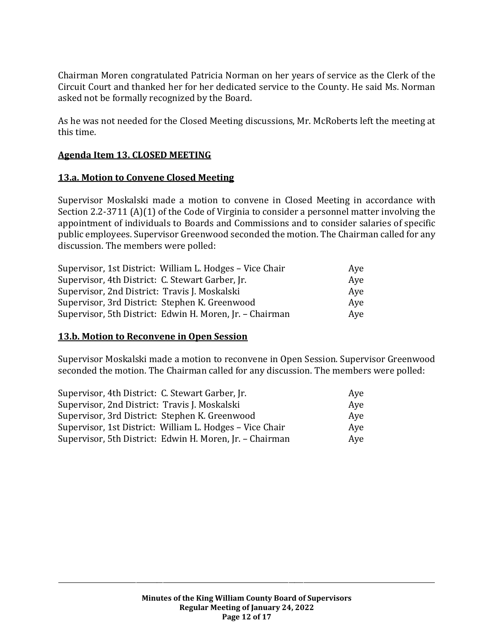Chairman Moren congratulated Patricia Norman on her years of service as the Clerk of the Circuit Court and thanked her for her dedicated service to the County. He said Ms. Norman asked not be formally recognized by the Board.

As he was not needed for the Closed Meeting discussions, Mr. McRoberts left the meeting at this time.

## **Agenda Item 13. CLOSED MEETING**

## **13.a. Motion to Convene Closed Meeting**

Supervisor Moskalski made a motion to convene in Closed Meeting in accordance with Section 2.2-3711 (A)(1) of the Code of Virginia to consider a personnel matter involving the appointment of individuals to Boards and Commissions and to consider salaries of specific public employees. Supervisor Greenwood seconded the motion. The Chairman called for any discussion. The members were polled:

| Supervisor, 1st District: William L. Hodges - Vice Chair | Aye |
|----------------------------------------------------------|-----|
| Supervisor, 4th District: C. Stewart Garber, Jr.         | Aye |
| Supervisor, 2nd District: Travis J. Moskalski            | Ave |
| Supervisor, 3rd District: Stephen K. Greenwood           | Ave |
| Supervisor, 5th District: Edwin H. Moren, Jr. - Chairman | Aye |

## **13.b. Motion to Reconvene in Open Session**

Supervisor Moskalski made a motion to reconvene in Open Session. Supervisor Greenwood seconded the motion. The Chairman called for any discussion. The members were polled:

| Supervisor, 4th District: C. Stewart Garber, Jr.         | Aye |
|----------------------------------------------------------|-----|
| Supervisor, 2nd District: Travis J. Moskalski            | Aye |
| Supervisor, 3rd District: Stephen K. Greenwood           | Aye |
| Supervisor, 1st District: William L. Hodges - Vice Chair | Aye |
| Supervisor, 5th District: Edwin H. Moren, Jr. - Chairman | Aye |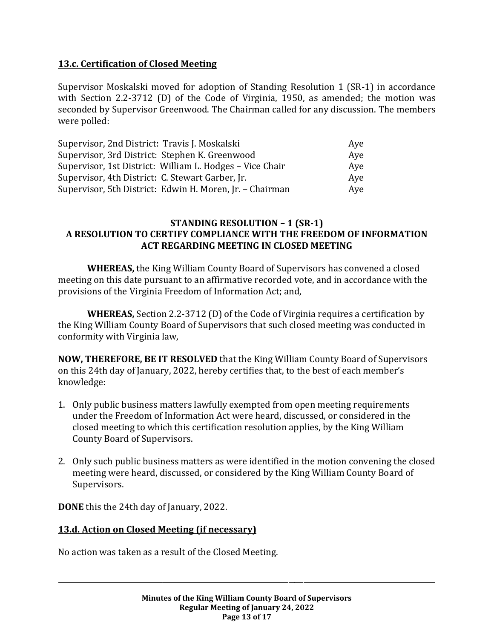## **13.c. Certification of Closed Meeting**

Supervisor Moskalski moved for adoption of Standing Resolution 1 (SR-1) in accordance with Section 2.2-3712 (D) of the Code of Virginia, 1950, as amended; the motion was seconded by Supervisor Greenwood. The Chairman called for any discussion. The members were polled:

| Supervisor, 2nd District: Travis J. Moskalski            | Aye |
|----------------------------------------------------------|-----|
| Supervisor, 3rd District: Stephen K. Greenwood           | Aye |
| Supervisor, 1st District: William L. Hodges - Vice Chair | Ave |
| Supervisor, 4th District: C. Stewart Garber, Jr.         | Aye |
| Supervisor, 5th District: Edwin H. Moren, Jr. - Chairman | Aye |

#### **STANDING RESOLUTION – 1 (SR-1) A RESOLUTION TO CERTIFY COMPLIANCE WITH THE FREEDOM OF INFORMATION ACT REGARDING MEETING IN CLOSED MEETING**

**WHEREAS,** the King William County Board of Supervisors has convened a closed meeting on this date pursuant to an affirmative recorded vote, and in accordance with the provisions of the Virginia Freedom of Information Act; and,

**WHEREAS,** Section 2.2-3712 (D) of the Code of Virginia requires a certification by the King William County Board of Supervisors that such closed meeting was conducted in conformity with Virginia law,

**NOW, THEREFORE, BE IT RESOLVED** that the King William County Board of Supervisors on this 24th day of January, 2022, hereby certifies that, to the best of each member's knowledge:

- 1. Only public business matters lawfully exempted from open meeting requirements under the Freedom of Information Act were heard, discussed, or considered in the closed meeting to which this certification resolution applies, by the King William County Board of Supervisors.
- 2. Only such public business matters as were identified in the motion convening the closed meeting were heard, discussed, or considered by the King William County Board of Supervisors.

**DONE** this the 24th day of January, 2022.

## **13.d. Action on Closed Meeting (if necessary)**

No action was taken as a result of the Closed Meeting.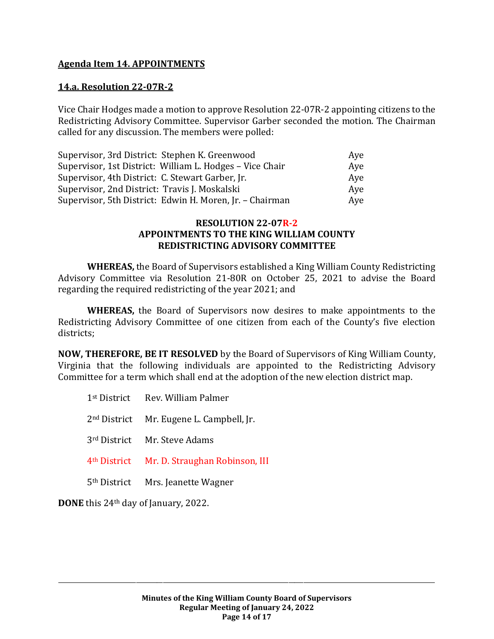## **Agenda Item 14. APPOINTMENTS**

#### **14.a. Resolution 22-07R-2**

Vice Chair Hodges made a motion to approve Resolution 22-07R-2 appointing citizens to the Redistricting Advisory Committee. Supervisor Garber seconded the motion. The Chairman called for any discussion. The members were polled:

| Supervisor, 3rd District: Stephen K. Greenwood           | Aye |
|----------------------------------------------------------|-----|
| Supervisor, 1st District: William L. Hodges - Vice Chair | Aye |
| Supervisor, 4th District: C. Stewart Garber, Jr.         | Aye |
| Supervisor, 2nd District: Travis J. Moskalski            | Ave |
| Supervisor, 5th District: Edwin H. Moren, Jr. - Chairman | Aye |

#### **RESOLUTION 22-07R-2 APPOINTMENTS TO THE KING WILLIAM COUNTY REDISTRICTING ADVISORY COMMITTEE**

**WHEREAS,** the Board of Supervisors established a King William County Redistricting Advisory Committee via Resolution 21-80R on October 25, 2021 to advise the Board regarding the required redistricting of the year 2021; and

**WHEREAS,** the Board of Supervisors now desires to make appointments to the Redistricting Advisory Committee of one citizen from each of the County's five election districts;

**NOW, THEREFORE, BE IT RESOLVED** by the Board of Supervisors of King William County, Virginia that the following individuals are appointed to the Redistricting Advisory Committee for a term which shall end at the adoption of the new election district map.

| 1 <sup>st</sup> District Rev. William Palmer            |
|---------------------------------------------------------|
| 2 <sup>nd</sup> District Mr. Eugene L. Campbell, Jr.    |
| 3rd District Mr. Steve Adams                            |
| 4 <sup>th</sup> District Mr. D. Straughan Robinson, III |
| 5 <sup>th</sup> District Mrs. Jeanette Wagner           |

**DONE** this 24th day of January, 2022.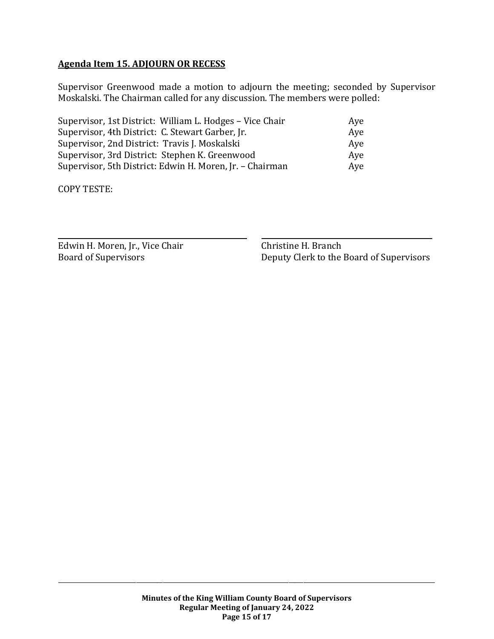## **Agenda Item 15. ADJOURN OR RECESS**

Supervisor Greenwood made a motion to adjourn the meeting; seconded by Supervisor Moskalski. The Chairman called for any discussion. The members were polled:

| Supervisor, 1st District: William L. Hodges - Vice Chair | Aye |
|----------------------------------------------------------|-----|
| Supervisor, 4th District: C. Stewart Garber, Jr.         | Aye |
| Supervisor, 2nd District: Travis J. Moskalski            | Aye |
| Supervisor, 3rd District: Stephen K. Greenwood           | Ave |
| Supervisor, 5th District: Edwin H. Moren, Jr. - Chairman | Aye |

COPY TESTE:

Edwin H. Moren, Jr., Vice Chair Christine H. Branch

Board of Supervisors Deputy Clerk to the Board of Supervisors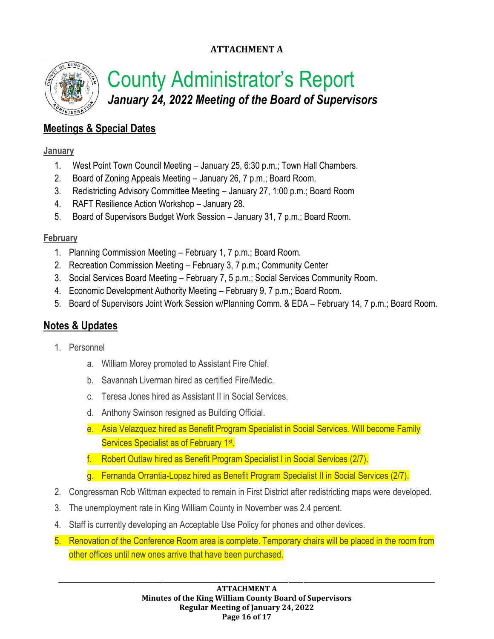## **ATTACHMENT A**



# County Administrator's Report *January 24, 2022 Meeting of the Board of Supervisors*

# **Meetings & Special Dates**

## **January**

- 1. West Point Town Council Meeting January 25, 6:30 p.m.; Town Hall Chambers.
- 2. Board of Zoning Appeals Meeting January 26, 7 p.m.; Board Room.
- 3. Redistricting Advisory Committee Meeting January 27, 1:00 p.m.; Board Room
- 4. RAFT Resilience Action Workshop January 28.
- 5. Board of Supervisors Budget Work Session January 31, 7 p.m.; Board Room.

## **February**

- 1. Planning Commission Meeting February 1, 7 p.m.; Board Room.
- 2. Recreation Commission Meeting February 3, 7 p.m.; Community Center
- 3. Social Services Board Meeting February 7, 5 p.m.; Social Services Community Room.
- 4. Economic Development Authority Meeting February 9, 7 p.m.; Board Room.
- 5. Board of Supervisors Joint Work Session w/Planning Comm. & EDA February 14, 7 p.m.; Board Room.

# **Notes & Updates**

- 1. Personnel
	- a. William Morey promoted to Assistant Fire Chief.
	- b. Savannah Liverman hired as certified Fire/Medic.
	- c. Teresa Jones hired as Assistant II in Social Services.
	- d. Anthony Swinson resigned as Building Official.
	- e. Asia Velazquez hired as Benefit Program Specialist in Social Services. Will become Family Services Specialist as of February 1<sup>st</sup>.
	- f. Robert Outlaw hired as Benefit Program Specialist I in Social Services (2/7).
	- g. Fernanda Orrantia-Lopez hired as Benefit Program Specialist II in Social Services (2/7).
- 2. Congressman Rob Wittman expected to remain in First District after redistricting maps were developed.
- 3. The unemployment rate in King William County in November was 2.4 percent.
- 4. Staff is currently developing an Acceptable Use Policy for phones and other devices.
- 5. Renovation of the Conference Room area is complete. Temporary chairs will be placed in the room from other offices until new ones arrive that have been purchased.